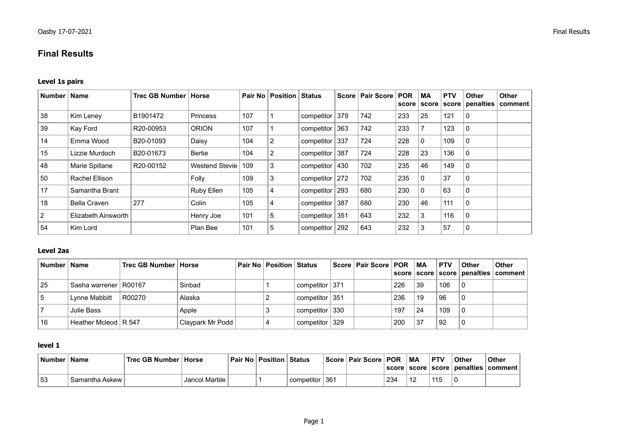# **Final Results**

### **Level 1s pairs**

| Number | <b>Name</b>         | <b>Trec GB Number   Horse</b> |                 | Pair No | <b>Position</b> | <b>Status</b>  |     | Score   Pair Score | <b>POR</b><br>score | МA<br>score | <b>PTV</b><br>score | <b>Other</b><br>penalties | Other<br>comment |
|--------|---------------------|-------------------------------|-----------------|---------|-----------------|----------------|-----|--------------------|---------------------|-------------|---------------------|---------------------------|------------------|
| 38     | Kim Leney           | B1901472                      | <b>Princess</b> | 107     |                 | competitor     | 379 | 742                | 233                 | 25          | 121                 | 0                         |                  |
| 39     | Kay Ford            | R20-00953                     | <b>ORION</b>    | 107     |                 | competitor     | 363 | 742                | 233                 |             | 123                 | $\mathbf{0}$              |                  |
| 14     | Emma Wood           | B20-01093                     | Daisy           | 104     | 2               | competitor     | 337 | 724                | 228                 | $\Omega$    | 109                 | 0                         |                  |
| 15     | Lizzie Murdoch      | B20-01673                     | Bertie          | 104     | 2               | competitor     | 387 | 724                | 228                 | 23          | 136                 | 0                         |                  |
| 48     | Marie Spillane      | R20-00152                     | Westend Stevie  | 109     | 3               | competitor 430 |     | 702                | 235                 | 46          | 149                 | 0                         |                  |
| 50     | Rachel Ellison      |                               | Folly           | 109     | 3               | competitor     | 272 | 702                | 235                 | 0           | 37                  | 0                         |                  |
| 17     | Samantha Brant      |                               | Ruby Ellen      | 105     | 4               | competitor     | 293 | 680                | 230                 | $\Omega$    | 63                  | $\mathbf{0}$              |                  |
| 18     | Bella Craven        | 277                           | Colin           | 105     | 4               | competitor     | 387 | 680                | 230                 | 46          | 111                 | 0                         |                  |
| 2      | Elizabeth Ainsworth |                               | Henry Joe       | 101     | 5               | competitor 351 |     | 643                | 232                 | 3           | 116                 | 0                         |                  |
| 54     | Kim Lord            |                               | Plan Bee        | 101     | 5               | competitor     | 292 | 643                | 232                 |             | 57                  | 0                         |                  |

# **Level 2as**

| Number   Name |                         | Trec GB Number   Horse |                  | <b>Pair No   Position   Status</b> |                                      | Score   Pair Score   POR   MA |     |    | <b>PTV</b> | Other | <b>Other</b><br>  score   score   score   penalties   comment |
|---------------|-------------------------|------------------------|------------------|------------------------------------|--------------------------------------|-------------------------------|-----|----|------------|-------|---------------------------------------------------------------|
| 25            | Sasha warrener   R00167 |                        | Sinbad           |                                    | competitor   371                     |                               | 226 | 39 | 106        |       |                                                               |
|               | Lynne Mabbitt           | R00270                 | Alaska           |                                    | competitor $\mid$ 351                |                               | 236 | 19 | 96         |       |                                                               |
|               | Julie Bass              |                        | Apple            |                                    | competitor   330                     |                               | 197 | 24 | 109        |       |                                                               |
| 16            | Heather Mcleod   R 547  |                        | Claypark Mr Podd |                                    | $^{\shortmid}$ competitor $\mid$ 329 |                               | 200 | 37 | 92         |       |                                                               |

### **level 1**

| <b>Number</b> | ⊟Name          | Trec GB Number   Horse |               | Pair No   Position | ∣ Status       | Score   Pair Score   POR |     | <b>MA</b> | . PTV     | <b>Other</b> | Other<br>  score   score   score   penalties   comment |
|---------------|----------------|------------------------|---------------|--------------------|----------------|--------------------------|-----|-----------|-----------|--------------|--------------------------------------------------------|
| 53            | Samantha Askew |                        | Jancol Marble |                    | competitor 361 |                          | 234 |           | 111<br>∣∪ |              |                                                        |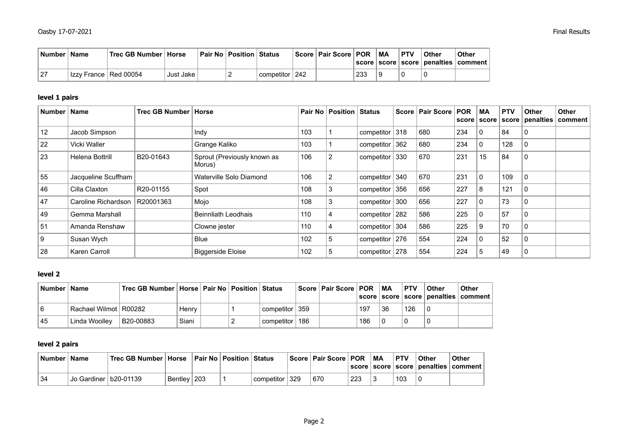|    | ∣ Number ∣ Name |                         | <b>Trec GB Number ∣ Horse</b> |           | ∣ Pair No ∣ Position ∣ Status |                  | Score   Pair Score   POR |     | МA | <b>PTV</b> | Other<br>score   score   score   penalties | Other<br>∣ comment |
|----|-----------------|-------------------------|-------------------------------|-----------|-------------------------------|------------------|--------------------------|-----|----|------------|--------------------------------------------|--------------------|
| 27 |                 | Izzy France   Red 00054 |                               | Just Jake |                               | competitor   242 |                          | 233 |    |            | ັ                                          |                    |

# **level 1 pairs**

| Number   Name |                     | Trec GB Number   Horse |                                       |     | <b>Pair No   Position   Status</b> |                  | Score   Pair Score | <b>POR</b><br>score | <b>MA</b><br>score | <b>PTV</b><br>score | <b>Other</b><br>penalties | <b>Other</b><br>  comment |
|---------------|---------------------|------------------------|---------------------------------------|-----|------------------------------------|------------------|--------------------|---------------------|--------------------|---------------------|---------------------------|---------------------------|
| 12            | Jacob Simpson       |                        | Indy                                  | 103 |                                    | competitor 318   | 680                | 234                 | $\mathbf{0}$       | 84                  | 0                         |                           |
| 22            | Vicki Waller        |                        | Grange Kaliko                         | 103 |                                    | competitor 362   | 680                | 234                 | 0                  | 128                 | 0                         |                           |
| 23            | Helena Bottrill     | B20-01643              | Sprout (Previously known as<br>Morus) | 106 | 2                                  | competitor 330   | 670                | 231                 | 15                 | 84                  | 0                         |                           |
| 55            | Jacqueline Scuffham |                        | Waterville Solo Diamond               | 106 |                                    | competitor 340   | 670                | 231                 | 0                  | 109                 | 0                         |                           |
| 46            | Cilla Claxton       | R20-01155              | Spot                                  | 108 | 3                                  | competitor 356   | 656                | 227                 | 8                  | 121                 | 0                         |                           |
| 47            | Caroline Richardson | R20001363              | Mojo                                  | 108 | 3                                  | competitor 300   | 656                | 227                 | 0                  | 73                  | 0                         |                           |
| 49            | Gemma Marshall      |                        | Beinnliath Leodhais                   | 110 | 4                                  | competitor 282   | 586                | 225                 | 0                  | 57                  | 0                         |                           |
| 51            | Amanda Renshaw      |                        | Clowne jester                         | 110 | 4                                  | competitor $304$ | 586                | 225                 | 9                  | 70                  | 0                         |                           |
| 9             | Susan Wych          |                        | <b>Blue</b>                           | 102 | 5                                  | competitor 276   | 554                | 224                 | 0                  | 52                  | 0                         |                           |
| 28            | Karen Carroll       |                        | <b>Biggerside Eloise</b>              | 102 | 5                                  | competitor 278   | 554                | 224                 | 5                  | 49                  | 0                         |                           |

#### **level 2**

|    | ∣Number ∣ Name            | Trec GB Number   Horse   Pair No   Position   Status |       |  |                  | ∣Score ∣ Pair Score ∣ POR |     | MA | <b>PTV</b> | Other | <b>Other</b><br>  score   score   score   penalties   comment |
|----|---------------------------|------------------------------------------------------|-------|--|------------------|---------------------------|-----|----|------------|-------|---------------------------------------------------------------|
|    | ˈ Rachael Wilmot   R00282 |                                                      | Henry |  | competitor 359   |                           | 197 | 36 | 126        |       |                                                               |
| 45 | Linda Woollev             | B20-00883                                            | Siani |  | competitor   186 |                           | 186 |    |            |       |                                                               |

# **level 2 pairs**

|    | Number   Name |                         | Trec GB Number ∣ Horse |                |     | ∣ Pair No ∣ Position ∣ Status |            |     | <b>∣Score   Pair Score   POR</b> |     | МA | <b>PTV</b> | Other<br> score score score penalties | Other<br>⊧comment |
|----|---------------|-------------------------|------------------------|----------------|-----|-------------------------------|------------|-----|----------------------------------|-----|----|------------|---------------------------------------|-------------------|
| 34 |               | Jo Gardiner   b20-01139 |                        | <b>Bentley</b> | 203 |                               | competitor | 329 | 670                              | 223 |    | 103        |                                       |                   |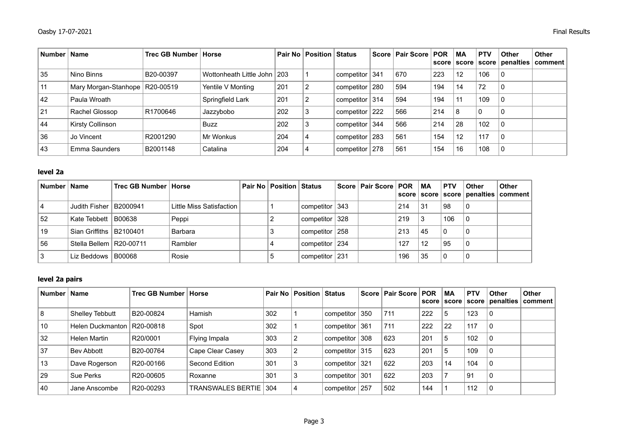| Number   Name |                                  | Trec GB Number   Horse |                               |     | <b>Pair No Position Status</b> |            |     | Score   Pair Score   POR |     | <b>MA</b><br>score   score | <b>PTV</b> | <b>Other</b><br>score penalties | Other<br>∣comment |
|---------------|----------------------------------|------------------------|-------------------------------|-----|--------------------------------|------------|-----|--------------------------|-----|----------------------------|------------|---------------------------------|-------------------|
| 35            | Nino Binns                       | B20-00397              | Wottonheath Little John   203 |     |                                | competitor | 341 | 670                      | 223 | 12                         | 106        | 0                               |                   |
| 11            | Mary Morgan-Stanhope   R20-00519 |                        | Yentile V Monting             | 201 | 2                              | competitor | 280 | 594                      | 194 | 14                         | 72         | 0                               |                   |
| 42            | Paula Wroath                     |                        | Springfield Lark              | 201 |                                | competitor | 314 | 594                      | 194 | 11                         | 109        | 0                               |                   |
| 21            | Rachel Glossop                   | R1700646               | Jazzybobo                     | 202 | 3                              | competitor | 222 | 566                      | 214 | 8                          | 0          | 0                               |                   |
| 44            | Kirsty Collinson                 |                        | <b>Buzz</b>                   | 202 | 3                              | competitor | 344 | 566                      | 214 | 28                         | 102        | 0                               |                   |
| 36            | Jo Vincent                       | R2001290               | Mr Wonkus                     | 204 | 4                              | competitor | 283 | 561                      | 154 | 12                         | 117        | 0                               |                   |
| 43            | Emma Saunders                    | B2001148               | Catalina                      | 204 | 4                              | competitor | 278 | 561                      | 154 | 16                         | 108        | 0                               |                   |

## **level 2a**

| Number   Name |                           | Trec GB Number   Horse |                          | Pair No   Position   Status |                  | Score   Pair Score   POR |     | MA | $\overline{\mathsf{PTV}}$ | Other | <b>Other</b><br>score   score   score   penalties   comment |
|---------------|---------------------------|------------------------|--------------------------|-----------------------------|------------------|--------------------------|-----|----|---------------------------|-------|-------------------------------------------------------------|
|               | Judith Fisher   B2000941  |                        | Little Miss Satisfaction |                             | competitor 343   |                          | 214 | 31 | 98                        | i 0   |                                                             |
| 52            | Kate Tebbett   B00638     |                        | Peppi                    |                             | competitor   328 |                          | 219 |    | 106                       |       |                                                             |
| 19            | Sian Griffiths   B2100401 |                        | Barbara                  |                             | competitor 258   |                          | 213 | 45 | $\Omega$                  |       |                                                             |
| 56            | Stella Bellem   R20-00711 |                        | Rambler                  |                             | competitor   234 |                          | 127 | 12 | 95                        | l O   |                                                             |
|               | Liz Beddows $ $ B00068    |                        | Rosie                    |                             | competitor   231 |                          | 196 | 35 | $\mathbf{0}$              |       |                                                             |

### **level 2a pairs**

| Number | Name             | Trec GB Number   Horse |                       |     | <b>Pair No   Position   Status</b> |                | Score   Pair Score   POR |     | <b>MA</b><br>score score | <b>PTV</b> | <b>Other</b><br>score penalties | Other<br>∣ comment |
|--------|------------------|------------------------|-----------------------|-----|------------------------------------|----------------|--------------------------|-----|--------------------------|------------|---------------------------------|--------------------|
| ∣8     | Shelley Tebbutt  | B20-00824              | <b>Hamish</b>         | 302 |                                    | competitor 350 | 711                      | 222 | 5                        | 123        | $\mathbf{0}$                    |                    |
| 10     | Helen Duckmanton | R20-00818              | Spot                  | 302 |                                    | competitor 361 | 711                      | 222 | 22                       | 117        | 0                               |                    |
| 32     | Helen Martin     | R20/0001               | Flying Impala         | 303 |                                    | competitor 308 | 623                      | 201 | 5                        | 102        | 0                               |                    |
| 37     | Bev Abbott       | B20-00764              | Cape Clear Casey      | 303 |                                    | competitor 315 | 623                      | 201 | 5                        | 109        | $\mathbf{0}$                    |                    |
| 13     | Dave Rogerson    | R20-00166              | Second Edition        | 301 |                                    | competitor 321 | 622                      | 203 | 14                       | 104        |                                 |                    |
| 29     | Sue Perks        | R20-00605              | Roxanne               | 301 | 3                                  | competitor 301 | 622                      | 203 |                          | 91         | $\mathbf{0}$                    |                    |
| 40     | Jane Anscombe    | R20-00293              | TRANSWALES BERTIE 304 |     |                                    | competitor 257 | 502                      | 144 |                          | 112        | 0                               |                    |